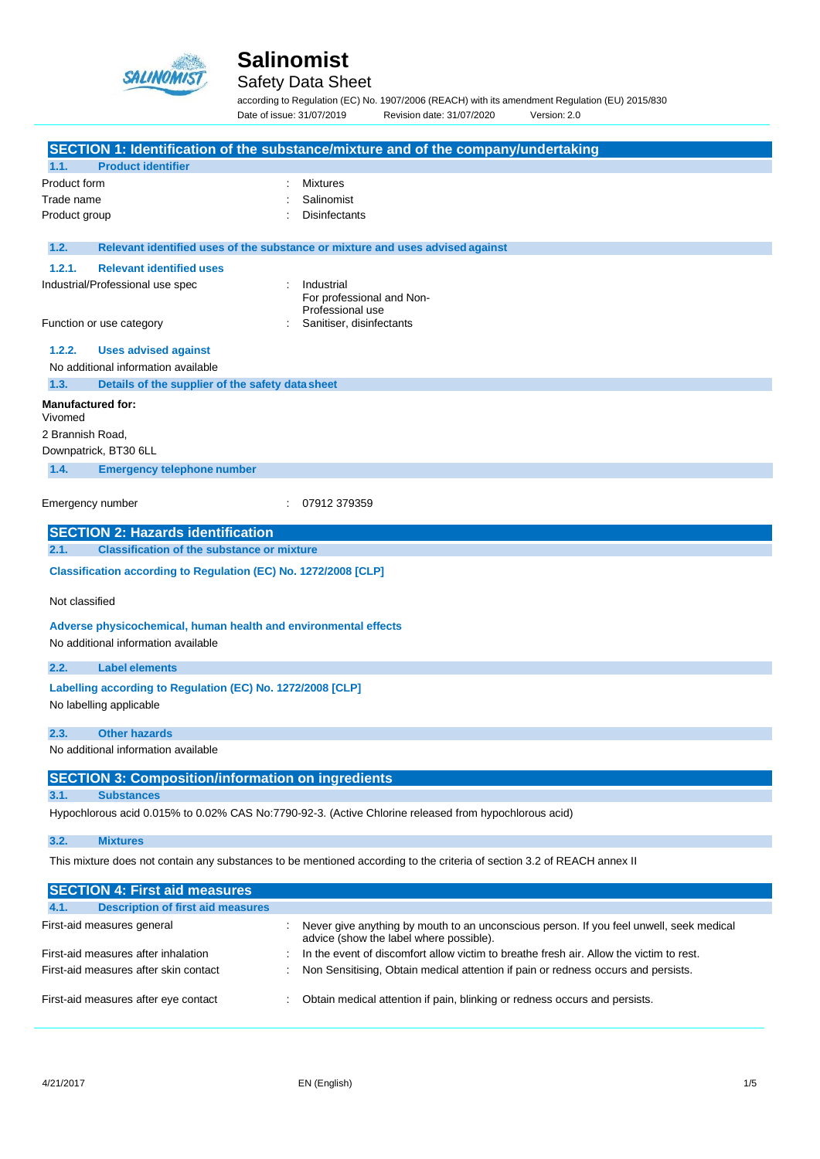

# Safety Data Sheet

according to Regulation (EC) No. 1907/2006 (REACH) with its amendment Regulation (EU) 2015/830<br>Date of issue: 31/07/2019 Revision date: 31/07/2020 Version: 2.0 Revision date: 31/07/2020

|                         |                                                                                                        |  | SECTION 1: Identification of the substance/mixture and of the company/undertaking                                                  |  |
|-------------------------|--------------------------------------------------------------------------------------------------------|--|------------------------------------------------------------------------------------------------------------------------------------|--|
| 1.1.                    | <b>Product identifier</b>                                                                              |  |                                                                                                                                    |  |
| Product form            |                                                                                                        |  | <b>Mixtures</b>                                                                                                                    |  |
| Trade name              |                                                                                                        |  | Salinomist                                                                                                                         |  |
| Product group           |                                                                                                        |  | <b>Disinfectants</b>                                                                                                               |  |
| 1.2.                    |                                                                                                        |  | Relevant identified uses of the substance or mixture and uses advised against                                                      |  |
| 1.2.1.                  | <b>Relevant identified uses</b>                                                                        |  |                                                                                                                                    |  |
|                         | Industrial/Professional use spec                                                                       |  | Industrial<br>For professional and Non-<br>Professional use                                                                        |  |
|                         | Function or use category                                                                               |  | Sanitiser, disinfectants                                                                                                           |  |
| 1.2.2.                  | <b>Uses advised against</b>                                                                            |  |                                                                                                                                    |  |
|                         | No additional information available                                                                    |  |                                                                                                                                    |  |
| 1.3.                    | Details of the supplier of the safety data sheet                                                       |  |                                                                                                                                    |  |
| Vivomed                 | <b>Manufactured for:</b>                                                                               |  |                                                                                                                                    |  |
| 2 Brannish Road,        |                                                                                                        |  |                                                                                                                                    |  |
|                         | Downpatrick, BT30 6LL                                                                                  |  |                                                                                                                                    |  |
| 1.4.                    | <b>Emergency telephone number</b>                                                                      |  |                                                                                                                                    |  |
|                         |                                                                                                        |  |                                                                                                                                    |  |
|                         | Emergency number                                                                                       |  | 07912 379359                                                                                                                       |  |
|                         | <b>SECTION 2: Hazards identification</b>                                                               |  |                                                                                                                                    |  |
| 2.1.                    | <b>Classification of the substance or mixture</b>                                                      |  |                                                                                                                                    |  |
|                         | Classification according to Regulation (EC) No. 1272/2008 [CLP]                                        |  |                                                                                                                                    |  |
| Not classified          |                                                                                                        |  |                                                                                                                                    |  |
|                         | Adverse physicochemical, human health and environmental effects<br>No additional information available |  |                                                                                                                                    |  |
| 2.2.                    | <b>Label elements</b>                                                                                  |  |                                                                                                                                    |  |
|                         | Labelling according to Regulation (EC) No. 1272/2008 [CLP]                                             |  |                                                                                                                                    |  |
|                         | No labelling applicable                                                                                |  |                                                                                                                                    |  |
| 2.3.                    | <b>Other hazards</b>                                                                                   |  |                                                                                                                                    |  |
|                         | No additional information available                                                                    |  |                                                                                                                                    |  |
|                         | <b>SECTION 3: Composition/information on ingredients</b>                                               |  |                                                                                                                                    |  |
| 3.1.                    | <b>Substances</b>                                                                                      |  |                                                                                                                                    |  |
|                         |                                                                                                        |  | Hypochlorous acid 0.015% to 0.02% CAS No:7790-92-3. (Active Chlorine released from hypochlorous acid)                              |  |
| 3.2.<br><b>Mixtures</b> |                                                                                                        |  |                                                                                                                                    |  |
|                         |                                                                                                        |  | This mixture does not contain any substances to be mentioned according to the criteria of section 3.2 of REACH annex II            |  |
|                         | <b>SECTION 4: First aid measures</b>                                                                   |  |                                                                                                                                    |  |
| 4.1.                    | <b>Description of first aid measures</b>                                                               |  |                                                                                                                                    |  |
|                         | First-aid measures general                                                                             |  | Never give anything by mouth to an unconscious person. If you feel unwell, seek medical<br>advice (show the label where possible). |  |
|                         | First-aid measures after inhalation                                                                    |  | In the event of discomfort allow victim to breathe fresh air. Allow the victim to rest.                                            |  |
|                         | First-aid measures after skin contact                                                                  |  | Non Sensitising, Obtain medical attention if pain or redness occurs and persists.                                                  |  |
|                         | First-aid measures after eye contact                                                                   |  | Obtain medical attention if pain, blinking or redness occurs and persists.                                                         |  |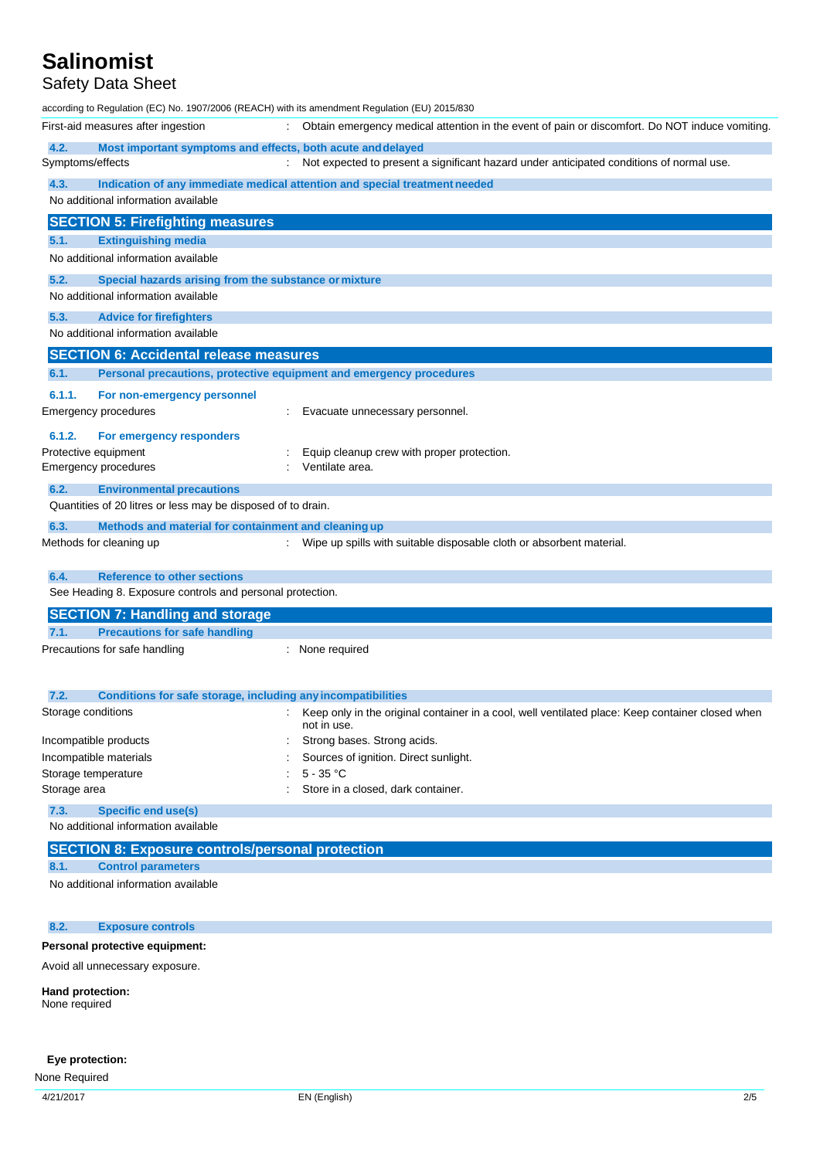# Safety Data Sheet

according to Regulation (EC) No. 1907/2006 (REACH) with its amendment Regulation (EU) 2015/830 First-aid measures after ingestion : Obtain emergency medical attention in the event of pain or discomfort. Do NOT induce vomiting. Symptoms/effects **intervalse and the symptoms**/effects in the symptoms/effects in the symptoms/effects of normal use. No additional information available No additional information available No additional information available No additional information available **6.1.1. For non-emergency personnel** Emergency procedures **Example 2018** Evacuate unnecessary personnel. **6.1.2. For emergency responders** Protective equipment **interval in the contract of the Cause** Equip cleanup crew with proper protection. Emergency procedures in the set of the Ventilate area. Quantities of 20 litres or less may be disposed of to drain. Methods for cleaning up **interval on the club of the UP** spills with suitable disposable cloth or absorbent material. See Heading 8. Exposure controls and personal protection. Precautions for safe handling : None required Storage conditions **interpret only in the original container in a cool, well ventilated place: Keep container closed when** not in use. Incompatible products : Strong bases. Strong acids. Incompatible materials **incompatible materials incompatible materials incompatible materials incompatible incompatible incompatible incompatible incompatible incompatible incompatible incompatible inc** Storage temperature : 5 - 35 °C Storage area : Store in a closed, dark container. No additional information available **SECTION 5: Firefighting measures 5.1. Extinguishing media SECTION 6: Accidental release measures 6.1. Personal precautions, protective equipment and emergency procedures 7.1. Precautions for safe handling 4.2. Most important symptoms and effects, both acute anddelayed 4.3. Indication of any immediate medical attention and special treatmentneeded 5.2. Special hazards arising from the substance or mixture 5.3. Advice for firefighters 6.2. Environmental precautions 6.3. Methods and material for containment and cleaning up 6.4. Reference to other sections SECTION 7: Handling and storage 7.2. Conditions for safe storage, including any incompatibilities 7.3. Specific end use(s)**

### **8.1. Control parameters SECTION 8: Exposure controls/personal protection**

No additional information available

**8.2. Exposure controls**

#### **Personal protective equipment:**

Avoid all unnecessary exposure.

**Hand protection:** None required

### **Eye protection:**

None Required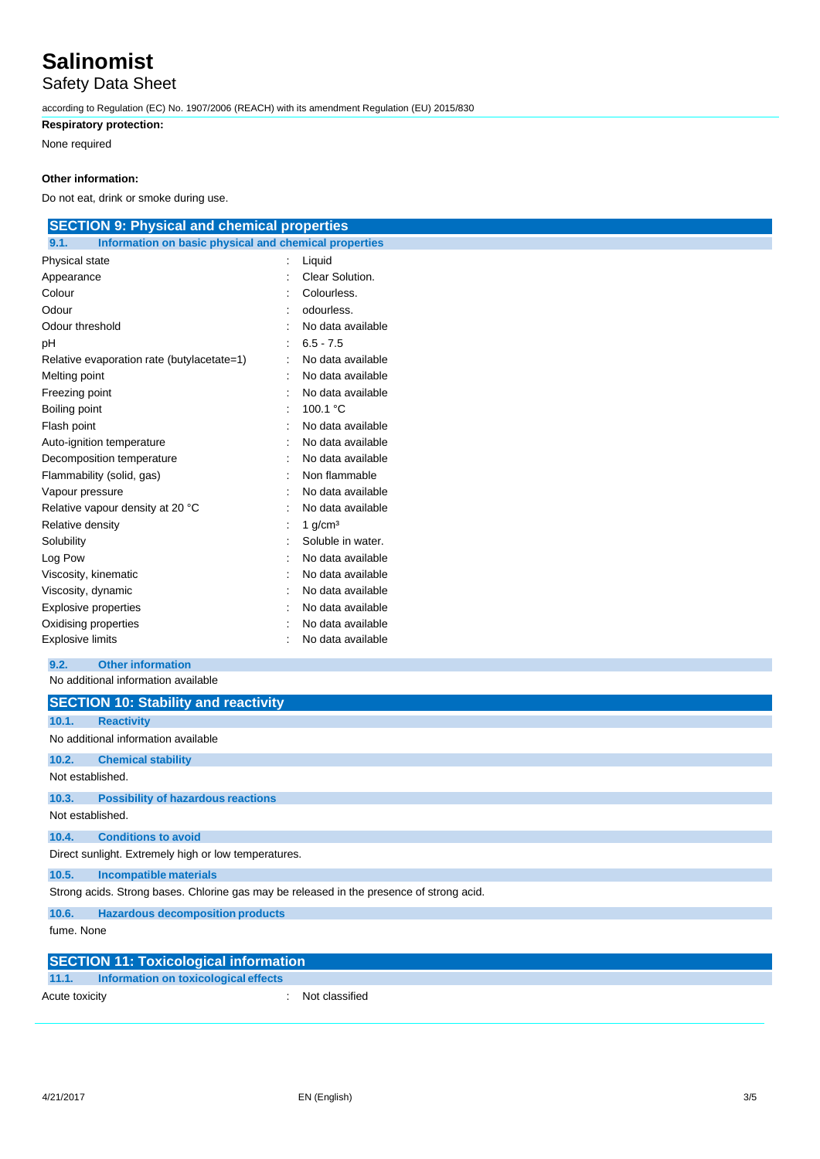Safety Data Sheet

according to Regulation (EC) No. 1907/2006 (REACH) with its amendment Regulation (EU) 2015/830

# **Respiratory protection:**

None required

### **Other information:**

Do not eat, drink or smoke during use.

| <b>SECTION 9: Physical and chemical properties</b>            |                   |
|---------------------------------------------------------------|-------------------|
| Information on basic physical and chemical properties<br>9.1. |                   |
| Physical state                                                | Liquid            |
| Appearance                                                    | Clear Solution.   |
| Colour                                                        | Colourless.       |
| Odour                                                         | odourless.        |
| Odour threshold                                               | No data available |
| pH                                                            | $6.5 - 7.5$       |
| Relative evaporation rate (butylacetate=1)                    | No data available |
| Melting point                                                 | No data available |
| Freezing point                                                | No data available |
| Boiling point                                                 | 100.1 $°C$        |
| Flash point                                                   | No data available |
| Auto-ignition temperature                                     | No data available |
| Decomposition temperature                                     | No data available |
| Flammability (solid, gas)                                     | Non flammable     |
| Vapour pressure                                               | No data available |
| Relative vapour density at 20 °C                              | No data available |
| Relative density                                              | 1 $q/cm3$         |
| Solubility                                                    | Soluble in water. |
| Log Pow                                                       | No data available |
| Viscosity, kinematic                                          | No data available |
| Viscosity, dynamic                                            | No data available |
| <b>Explosive properties</b>                                   | No data available |
| Oxidising properties                                          | No data available |
| <b>Explosive limits</b>                                       | No data available |

### **9.2. Other information**

No additional information available

| <b>SECTION 10: Stability and reactivity</b>                                              |                |
|------------------------------------------------------------------------------------------|----------------|
| 10.1.<br><b>Reactivity</b>                                                               |                |
| No additional information available                                                      |                |
| 10.2.<br><b>Chemical stability</b>                                                       |                |
| Not established.                                                                         |                |
| 10.3.<br><b>Possibility of hazardous reactions</b>                                       |                |
| Not established.                                                                         |                |
| <b>Conditions to avoid</b><br>10.4.                                                      |                |
| Direct sunlight. Extremely high or low temperatures.                                     |                |
| 10.5.<br><b>Incompatible materials</b>                                                   |                |
| Strong acids. Strong bases. Chlorine gas may be released in the presence of strong acid. |                |
| 10.6.<br><b>Hazardous decomposition products</b>                                         |                |
| fume. None                                                                               |                |
| <b>SECTION 11: Toxicological information</b>                                             |                |
| 11.1.<br>Information on toxicological effects                                            |                |
| Acute toxicity                                                                           | Not classified |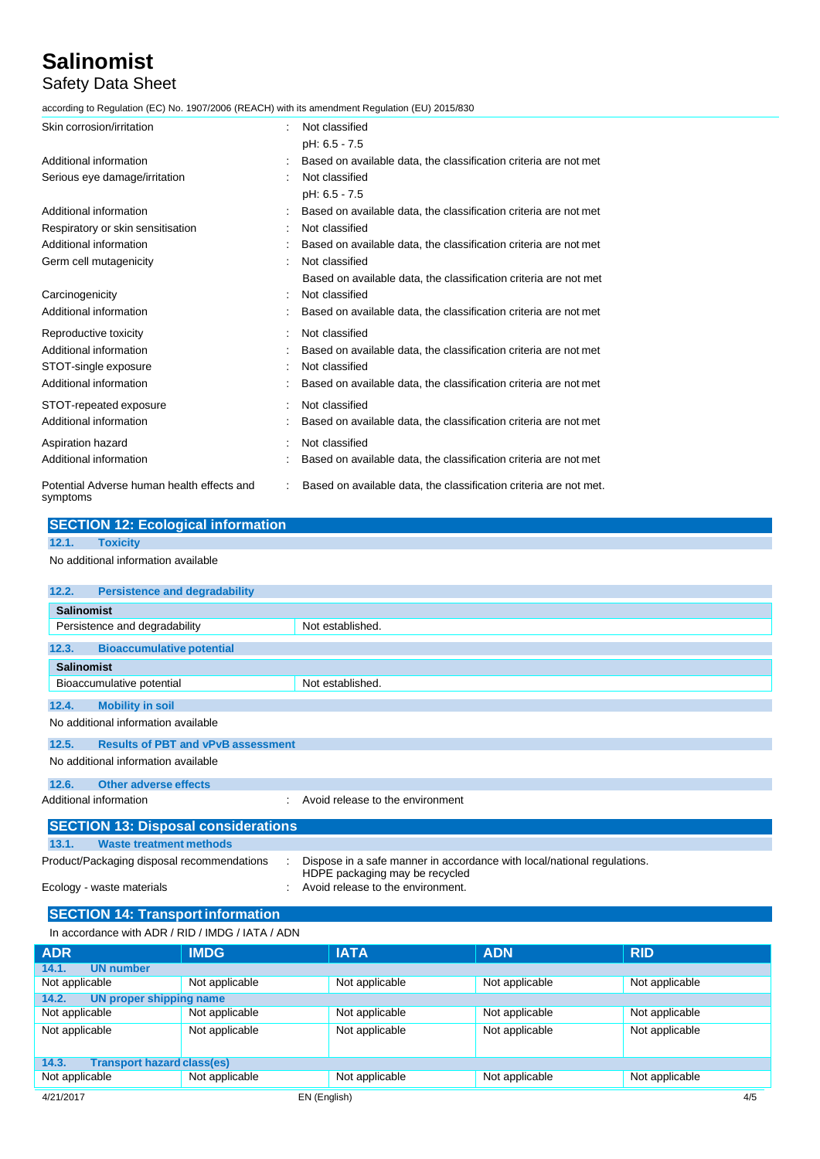# Safety Data Sheet

according to Regulation (EC) No. 1907/2006 (REACH) with its amendment Regulation (EU) 2015/830

| Skin corrosion/irritation                              | Not classified                                                    |
|--------------------------------------------------------|-------------------------------------------------------------------|
|                                                        | pH: 6.5 - 7.5                                                     |
| Additional information                                 | Based on available data, the classification criteria are not met  |
| Serious eye damage/irritation                          | Not classified                                                    |
|                                                        | pH: 6.5 - 7.5                                                     |
| Additional information                                 | Based on available data, the classification criteria are not met  |
| Respiratory or skin sensitisation                      | Not classified                                                    |
| Additional information                                 | Based on available data, the classification criteria are not met  |
| Germ cell mutagenicity                                 | Not classified                                                    |
|                                                        | Based on available data, the classification criteria are not met  |
| Carcinogenicity                                        | Not classified                                                    |
| Additional information                                 | Based on available data, the classification criteria are not met  |
| Reproductive toxicity                                  | Not classified                                                    |
| Additional information                                 | Based on available data, the classification criteria are not met  |
| STOT-single exposure                                   | Not classified                                                    |
| Additional information                                 | Based on available data, the classification criteria are not met  |
| STOT-repeated exposure                                 | Not classified                                                    |
| Additional information                                 | Based on available data, the classification criteria are not met  |
| Aspiration hazard                                      | Not classified                                                    |
| Additional information                                 | Based on available data, the classification criteria are not met  |
| Potential Adverse human health effects and<br>symptoms | Based on available data, the classification criteria are not met. |

| <b>SECTION 12: Ecological information</b> |
|-------------------------------------------|

```
12.1. Toxicity
```
No additional information available

| <b>Persistence and degradability</b><br>12.2.      |                                        |  |  |  |
|----------------------------------------------------|----------------------------------------|--|--|--|
| <b>Salinomist</b>                                  |                                        |  |  |  |
| Persistence and degradability                      | Not established.                       |  |  |  |
| <b>Bioaccumulative potential</b><br>12.3.          |                                        |  |  |  |
| <b>Salinomist</b>                                  |                                        |  |  |  |
| Bioaccumulative potential                          | Not established.                       |  |  |  |
| <b>Mobility in soil</b><br>12.4.                   |                                        |  |  |  |
| No additional information available                |                                        |  |  |  |
| <b>Results of PBT and vPvB assessment</b><br>12.5. |                                        |  |  |  |
| No additional information available                |                                        |  |  |  |
| Other adverse effects<br>12.6.                     |                                        |  |  |  |
| Additional information                             | Avoid release to the environment<br>÷. |  |  |  |
| <b>SECTION 13: Disposal considerations</b>         |                                        |  |  |  |

| $\blacksquare$ |                                            |  |                                                                                                           |  |
|----------------|--------------------------------------------|--|-----------------------------------------------------------------------------------------------------------|--|
| 13.1.          | Waste treatment methods                    |  |                                                                                                           |  |
|                | Product/Packaging disposal recommendations |  | Dispose in a safe manner in accordance with local/national regulations.<br>HDPE packaging may be recycled |  |
|                | Ecology - waste materials                  |  | Avoid release to the environment.                                                                         |  |

# **SECTION 14: Transport information** In accordance with ADR / RID / IMDG / IATA / ADN

| <b>ADR</b>                                 | <b>IMDG</b>    | <b>IATA</b>    | <b>ADN</b>     | <b>RID</b>     |  |
|--------------------------------------------|----------------|----------------|----------------|----------------|--|
| 14.1.<br><b>UN</b> number                  |                |                |                |                |  |
| Not applicable                             | Not applicable | Not applicable | Not applicable | Not applicable |  |
| 14.2.<br>UN proper shipping name           |                |                |                |                |  |
| Not applicable                             | Not applicable | Not applicable | Not applicable | Not applicable |  |
| Not applicable                             | Not applicable | Not applicable | Not applicable | Not applicable |  |
|                                            |                |                |                |                |  |
| <b>Transport hazard class(es)</b><br>14.3. |                |                |                |                |  |
| Not applicable                             | Not applicable | Not applicable | Not applicable | Not applicable |  |
| 4/21/2017                                  | EN (English)   |                |                | 4/5            |  |